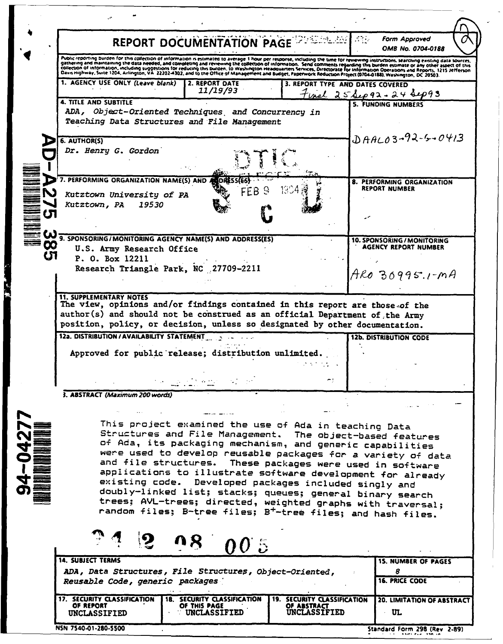|                                                                                                                                                                                                                                                                                                                                                                                                                                                                                                                                                                                                                                                | REPORT DOCUMENTATION PAGE                                                                                                                                                                                                                                                                                                                                                                                                                                                                                                                                                                                                                                                                                                           |                                                                                                                |                                  | <b>Form Approved</b><br>OMB No. 0704-0188                                   |
|------------------------------------------------------------------------------------------------------------------------------------------------------------------------------------------------------------------------------------------------------------------------------------------------------------------------------------------------------------------------------------------------------------------------------------------------------------------------------------------------------------------------------------------------------------------------------------------------------------------------------------------------|-------------------------------------------------------------------------------------------------------------------------------------------------------------------------------------------------------------------------------------------------------------------------------------------------------------------------------------------------------------------------------------------------------------------------------------------------------------------------------------------------------------------------------------------------------------------------------------------------------------------------------------------------------------------------------------------------------------------------------------|----------------------------------------------------------------------------------------------------------------|----------------------------------|-----------------------------------------------------------------------------|
|                                                                                                                                                                                                                                                                                                                                                                                                                                                                                                                                                                                                                                                | Public reporting burden for this collection of information is estimated to average 1 hour per response, including the time for reviewing instructions, searching existing data sources,<br>gathering and maintaining the data needed, and completing and reviewing the collection of information. Send comments regarding this burden estimate or any other aspect of this<br>collection of information, including suggestions for reducing this burden, to Washington Headquarters Services, Directorate for information Operations and Reports, 1215 Jefferson<br>Davis Highway, Suite 1204, Arlington, VA 22202-4302, and to the Office of Management and Budget, Paperwork Reduction Project (0704-0188), Washington, DC 20503. |                                                                                                                |                                  |                                                                             |
|                                                                                                                                                                                                                                                                                                                                                                                                                                                                                                                                                                                                                                                | 1. AGENCY USE ONLY (Leave blank)                                                                                                                                                                                                                                                                                                                                                                                                                                                                                                                                                                                                                                                                                                    | 2. REPORT DATE<br>11/19/93                                                                                     | 3. REPORT TYPE AND DATES COVERED | $F$ unal 25 Sep 92 - 24 Sep 93                                              |
|                                                                                                                                                                                                                                                                                                                                                                                                                                                                                                                                                                                                                                                | <b>4. TITLE AND SUBTITLE</b><br>ADA, Object-Oriented Techniques, and Concurrency in<br>Teaching Data Structures and File Management                                                                                                                                                                                                                                                                                                                                                                                                                                                                                                                                                                                                 |                                                                                                                |                                  | 5. FUNDING NUMBERS                                                          |
|                                                                                                                                                                                                                                                                                                                                                                                                                                                                                                                                                                                                                                                | 6. AUTHOR(S)<br>Dr. Henry G. Gordon                                                                                                                                                                                                                                                                                                                                                                                                                                                                                                                                                                                                                                                                                                 |                                                                                                                |                                  | $DAALO3-92-5-0413$                                                          |
|                                                                                                                                                                                                                                                                                                                                                                                                                                                                                                                                                                                                                                                | 7. PERFORMING ORGANIZATION NAME(S) AND<br>Kutztown University of PA<br>Kutztown, PA<br>19530                                                                                                                                                                                                                                                                                                                                                                                                                                                                                                                                                                                                                                        | G<br>FF B.                                                                                                     | 1904                             | 8. PERFORMING ORGANIZATION<br><b>REPORT NUMBER</b>                          |
| <b>00</b>                                                                                                                                                                                                                                                                                                                                                                                                                                                                                                                                                                                                                                      | 9. SPONSORING/MONITORING AGENCY NAME(S) AND ADDRESS(ES)<br>U.S. Army Research Office<br>P. O. Box 12211<br>Research Triangle Park, NC 27709-2211                                                                                                                                                                                                                                                                                                                                                                                                                                                                                                                                                                                    |                                                                                                                |                                  | 10. SPONSORING / MONITORING<br>AGENCY REPORT NUMBER<br>$Area$ 30995.1- $MA$ |
|                                                                                                                                                                                                                                                                                                                                                                                                                                                                                                                                                                                                                                                | The view, opinions and/or findings contained in this report are those of the<br>author(s) and should not be construed as an official Department of the Army<br>position, policy, or decision, unless so designated by other documentation.<br>12a. DISTRIBUTION / AVAILABILITY STATEMENT<br>Approved for public release; distribution unlimited.                                                                                                                                                                                                                                                                                                                                                                                    | $\mathcal{L}^{\mathcal{L}}_{\mathcal{L}}$ and $\mathcal{L}^{\mathcal{L}}_{\mathcal{L}}$ is the contribution of |                                  | <b>12b. DISTRIBUTION CODE</b>                                               |
|                                                                                                                                                                                                                                                                                                                                                                                                                                                                                                                                                                                                                                                | 3. ABSTRACT (Maximum 200 words)                                                                                                                                                                                                                                                                                                                                                                                                                                                                                                                                                                                                                                                                                                     |                                                                                                                |                                  |                                                                             |
| This project examined the use of Ada in teaching Data<br>Structures and File Management. The object-based features<br>of Ada, its packaging mechanism, and generic capabilities<br>were used to develop reusable packages for a variety of data<br>and file structures.<br>These packages were used in software<br>applications to illustrate software development for already<br>existing code. Developed packages included singly and<br>doubly-linked list; stacks; queues; general binary search<br>trees: AVL-trees; directed, weighted graphs with traversal;<br>random files; B-tree files; B <sup>+</sup> -tree files; and hash files. |                                                                                                                                                                                                                                                                                                                                                                                                                                                                                                                                                                                                                                                                                                                                     |                                                                                                                |                                  |                                                                             |
|                                                                                                                                                                                                                                                                                                                                                                                                                                                                                                                                                                                                                                                |                                                                                                                                                                                                                                                                                                                                                                                                                                                                                                                                                                                                                                                                                                                                     |                                                                                                                |                                  |                                                                             |
|                                                                                                                                                                                                                                                                                                                                                                                                                                                                                                                                                                                                                                                | <b>14. SUBJECT TERMS</b>                                                                                                                                                                                                                                                                                                                                                                                                                                                                                                                                                                                                                                                                                                            | 005                                                                                                            |                                  | <b>15. NUMBER OF PAGES</b>                                                  |
|                                                                                                                                                                                                                                                                                                                                                                                                                                                                                                                                                                                                                                                | ADA, Data Structures, File Structures, Object-Oriented,<br>Reusable Code, generic packages<br>17. SECURITY CLASSIFICATION                                                                                                                                                                                                                                                                                                                                                                                                                                                                                                                                                                                                           |                                                                                                                |                                  | 8<br><b>16. PRICE CODE</b><br>20. LIMITATION OF ABSTRACT                    |

NSN 7540-01-280-5500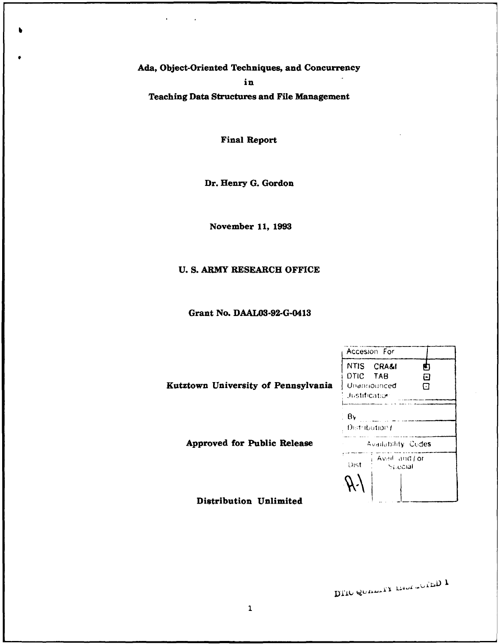Ada, Object-Oriented Techniques, and Concurrency

in

**Teaching Data Structures and File Management** 

**Final Report** 

Dr. Henry G. Gordon

November 11, 1993

# U. S. ARMY RESEARCH OFFICE

Grant No. DAAL03-92-G-0413

|                                     | Accesion For                                                                          |  |  |
|-------------------------------------|---------------------------------------------------------------------------------------|--|--|
| Kutztown University of Pennsylvania | <b>NTIS</b><br><b>CRA&amp;I</b><br>DTIC TAB<br>0<br>Unannounced<br>Ω<br>Justification |  |  |
|                                     | Bv<br>Distribution (                                                                  |  |  |
| <b>Approved for Public Release</b>  | <b>Availability Codes</b>                                                             |  |  |
|                                     | - Avail: and J or<br>Dist.<br>Special                                                 |  |  |
| Distribution Unlimited              |                                                                                       |  |  |

DLIO SOUTHER THOUT TO LED T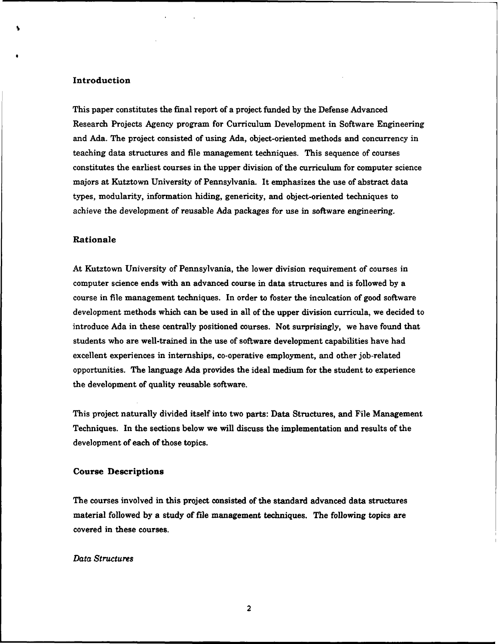### Introduction

This paper constitutes the final report of a project funded by the Defense Advanced Research Projects Agency program for Curriculum Development in Software Engineering and Ada. The project consisted of using Ada, object-oriented methods and concurrency in teaching data structures and file management techniques. This sequence of courses constitutes the earliest courses in the upper division of the curriculum for computer science majors at Kutztown University of Pennsylvania. It emphasizes the use of abstract data types, modularity, information hiding, genericity, and object-oriented techniques to achieve the development of reusable Ada packages for use in software engineering.

#### Rationale

At Kutztown University of Pennsylvania, the lower division requirement of courses in computer science ends with an advanced course in data structures and is followed by a course in file management techniques. In order to foster the inculcation of good software development methods which can be used in all of the upper division curricula, we decided to introduce Ada in these centrally positioned courses. Not surprisingly, we have found that students who are well-trained in the use of software development capabilities have had excellent experiences in internships, co-operative employment, and other job-related opportunities. The language Ada provides the ideal medium for the student to experience the development of quality reusable software.

This project naturally divided itself into two parts: Data Structures, and File Management Techniques. In the sections below we will discuss the implementation and results of the development of each of those topics.

#### Course Descriptions

The courses involved in this project consisted of the standard advanced data structures material followed by a study of file management techniques. The following topics are covered in these courses.

## *Data Structures*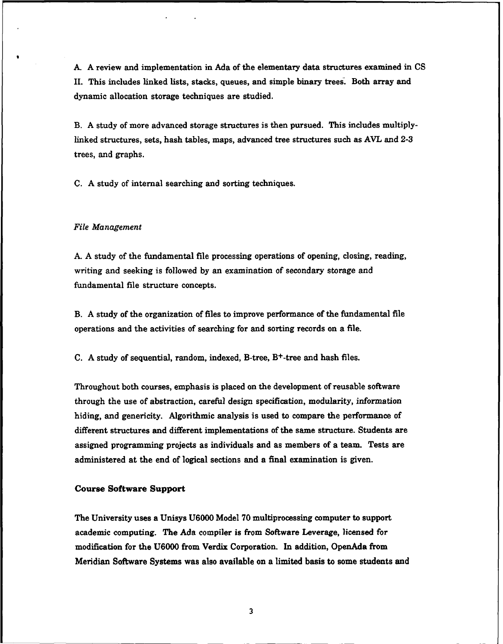**A•** A review and implementation in Ada of the elementary data structures examined in CS II. This includes linked lists, stacks, queues, and simple binary trees. Both array and dynamic allocation storage techniques are studied.

B. A study of more advanced storage structures is then pursued. This includes multiplylinked structures, sets, hash tables, maps, advanced tree structures such as AVL and 2-3 trees, and graphs.

C. A study of internal searching and sorting techniques.

#### *File* Management

A. A study of the fundamental file processing operations of opening, closing, reading, writing and seeking is followed by an examination of secondary storage and fundamental file structure concepts.

B. A study of the organization of files to improve performance of the fundamental file operations and the activities of searching for and sorting records on a file.

C. A study of sequential, random, indexed, B-tree, B+-tree and hash files.

Throughout both courses, emphasis is placed on the development of reusable software through the use of abstraction, careful design specification, modularity, information hiding, and genericity. Algorithmic analysis is used to compare the performance of different structures and different implementations of the same structure. Students are assigned programming projects as individuals and as members of a team. Tests are administered at the end of logical sections and a final examination is given.

#### Course Software Support

The University uses a Unisys U6000 Model 70 multiprocessing computer to support academic computing. The Ada compiler is from Software Leverage, licensed for modification for the U6000 from Verdix Corporation. In addition, OpenAda from Meridian Software Systems was also available on a limited basis to some students and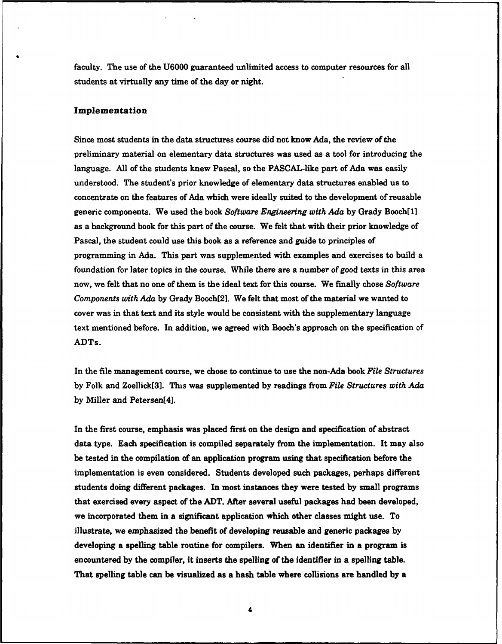faculty. The use of the U6000 guaranteed unlimited access to computer resources for all students at virtually any time of the day or night.

### Implementation

Since most students in the data structures course did not know Ada, the review of the preliminary material on elementary data structures was used as a tool for introducing the language. All of the students knew Pascal, so the PASCAL-like part of Ada was easily understood. The student's prior knowledge of elementary data structures enabled us to concentrate on the features of Ada which were ideally suited to the development of reusable generic components. We used the book *Software Engineering with Ada* by Grady Booch[11 as a background book for this part of the course. We felt that with their prior knowledge of Pascal, the student could use this book as a reference and guide to principles of programming in Ada. This part was supplemented with examples and exercises to build a foundation for later topics in the course. While there are a number of good texts in this area now, we felt that no one of them is the ideal text for this course. We finally chose *Software* Components *with* Ada by Grady Booch[21. We felt that most of the material we wanted to cover was in that text and its style would be consistent with the supplementary language text mentioned before. In addition, we agreed with Booch's approach on the specification of ADTs.

In the file management course, we chose to continue to use the non-Ada book *File Structures* by Folk and Zoellick[3]. This was supplemented by readings from *File Structures with Ada* by Miller and Petersen[41.

In the first course, emphasis was placed first on the design and specification of abstract data type. Each specification is compiled separately from the implementation. It may also be tested in the compilation of an application program using that specification before the implementation is even considered. Students developed such packages, perhaps different students doing different packages. In most instances they were tested by small programs that exercised every aspect of the ADT. After several useful packages had been developed, we incorporated them in a significant application which other classes might use. To illustrate, we emphasized the benefit of developing reusable and generic packages by developing a spelling table routine for compilers. When an identifier in a program is encountered by the compiler, it inserts the spelling of the identifier in a spelling table. That spelling table can be visualized as a hash table where collisions are handled by a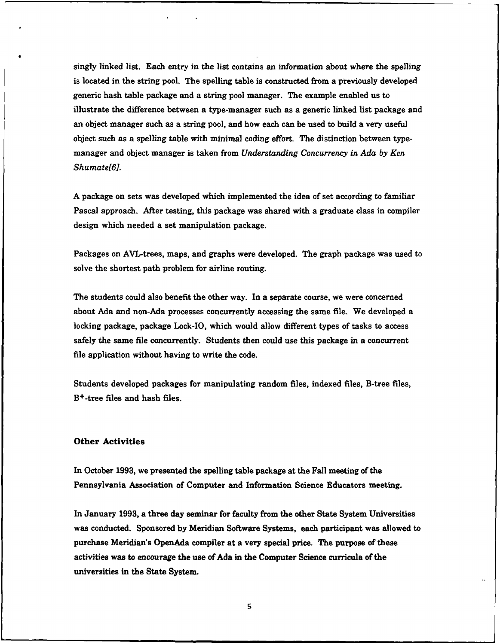singly linked list. Each entry in the list contains an information about where the spelling is located in the string pool. The spelling table is constructed from a previously developed generic hash table package and a string pool manager. The example enabled us to illustrate the difference between a type-manager such as a generic linked list package and an object manager such as a string pool, and how each can be used to build a very useful object such as a spelling table with minimal coding effort. The distinction between typemanager and object manager is taken from *Understanding* Concurrency in Ada *by Ken Shumate[6].*

A package on sets was developed which implemented the idea of set according to familiar Pascal approach. After testing, this package was shared with a graduate class in compiler design which needed a set manipulation package.

Packages on AVL-trees, maps, and graphs were developed. The graph package was used to solve the shortest path problem for airline routing.

The students could also benefit the other way. In a separate course, we were concerned about Ada and non-Ada processes concurrently accessing the same file. We developed a locking package, package Lock-IO, which would allow different types of tasks to access safely the same file concurrently. Students then could use this package in a concurrent file application without having to write the code.

Students developed packages for manipulating random files, indexed files, B-tree files, B+-tree files and hash files.

## Other Activities

In October 1993, we presented the spelling table package at the Fall meeting of the Pennsylvania Association of Computer and Information Science Educators meeting.

In January 1993, a three day seminar for faculty from the other State System Universities was conducted. Sponsored by Meridian Software Systems, each participant was allowed to purchase Meridian's OpenAda compiler at a very special price. The purpose of these activities was to encourage the use of Ada in the Computer Science curricula of the universities in the State System.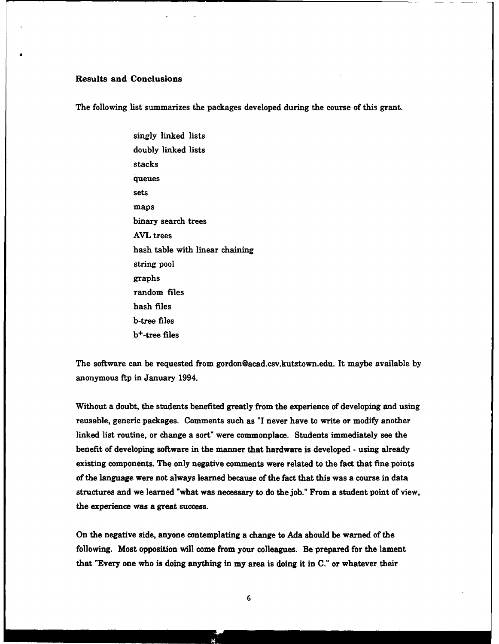## Results and Conclusions

The following list summarizes the packages developed during the course of this grant.

singly linked lists doubly linked lists stacks queues sets maps binary search trees AVL trees hash table with linear chaining string pool graphs random files hash files b-tree files b+-tree files

The software can be requested from gordon@acad.csv.kutztown.edu. It maybe available by anonymous ftp in January 1994.

Without a doubt, the students benefited greatly from the experience of developing and using reusable, generic packages. Comments such as "I never have to write or modify another linked list routine, or change a sort" were commonplace. Students immediately see the benefit of developing software in the manner that hardware is developed - using already existing components. The only negative comments were related to the fact that fine points of the language were not always learned because of the fact that this was a course in data structures and we learned "what was necessary to do the job." From a student point of view, the experience was a great success.

On the negative side, anyone contemplating a change to Ada should be warned of the following. Most opposition will come from your colleagues. Be prepared for the lament that "Every one who is doing anything in my area is doing it in C." or whatever their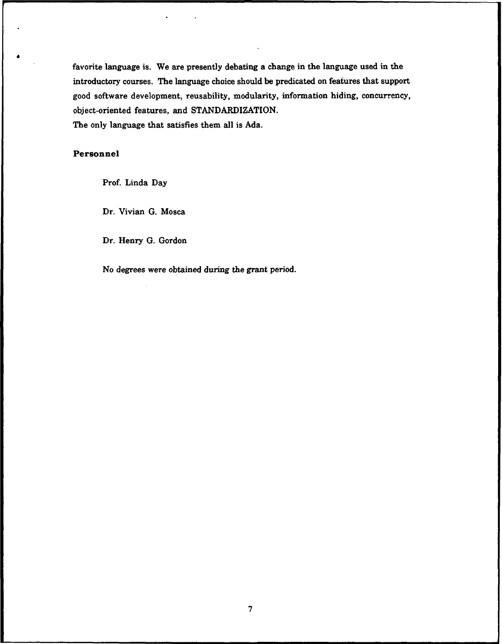favorite language is. We are presently debating a change in the language used in the introductory courses. The language choice should be predicated on features that support good software development, reusability, modularity, information hiding, concurrency, object-oriented features, and STANDARDIZATION. The only language that satisfies them all is Ada.

## Personnel

Prof. Linda Day

Dr. Vivian G. Mosca

Dr. Henry G. Gordon

No degrees were obtained during the grant period.